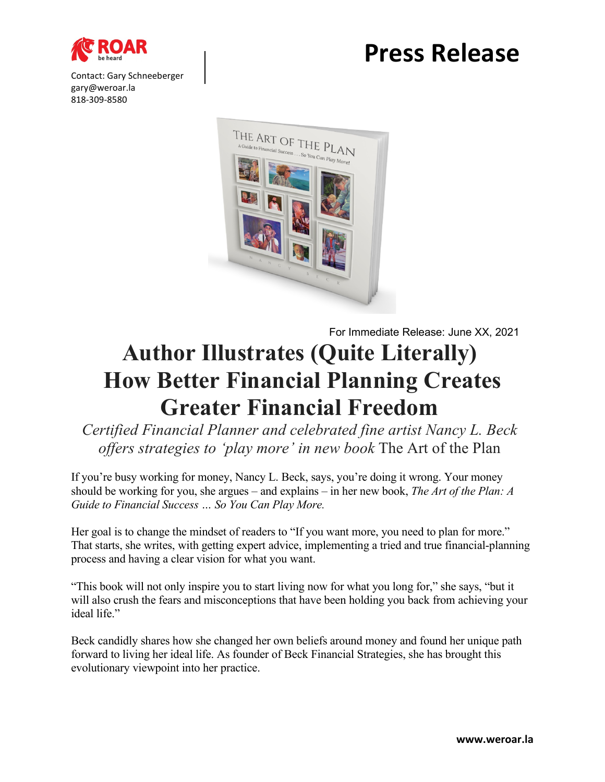

Contact: Gary Schneeberger gary@weroar.la 818-309-8580

## **Press Release**



For Immediate Release: June XX, 2021

## **Author Illustrates (Quite Literally) How Better Financial Planning Creates Greater Financial Freedom**

*Certified Financial Planner and celebrated fine artist Nancy L. Beck offers strategies to 'play more' in new book* The Art of the Plan

If you're busy working for money, Nancy L. Beck, says, you're doing it wrong. Your money should be working for you, she argues – and explains – in her new book, *The Art of the Plan: A Guide to Financial Success … So You Can Play More.*

Her goal is to change the mindset of readers to "If you want more, you need to plan for more." That starts, she writes, with getting expert advice, implementing a tried and true financial-planning process and having a clear vision for what you want.

"This book will not only inspire you to start living now for what you long for," she says, "but it will also crush the fears and misconceptions that have been holding you back from achieving your ideal life."

Beck candidly shares how she changed her own beliefs around money and found her unique path forward to living her ideal life. As founder of Beck Financial Strategies, she has brought this evolutionary viewpoint into her practice.